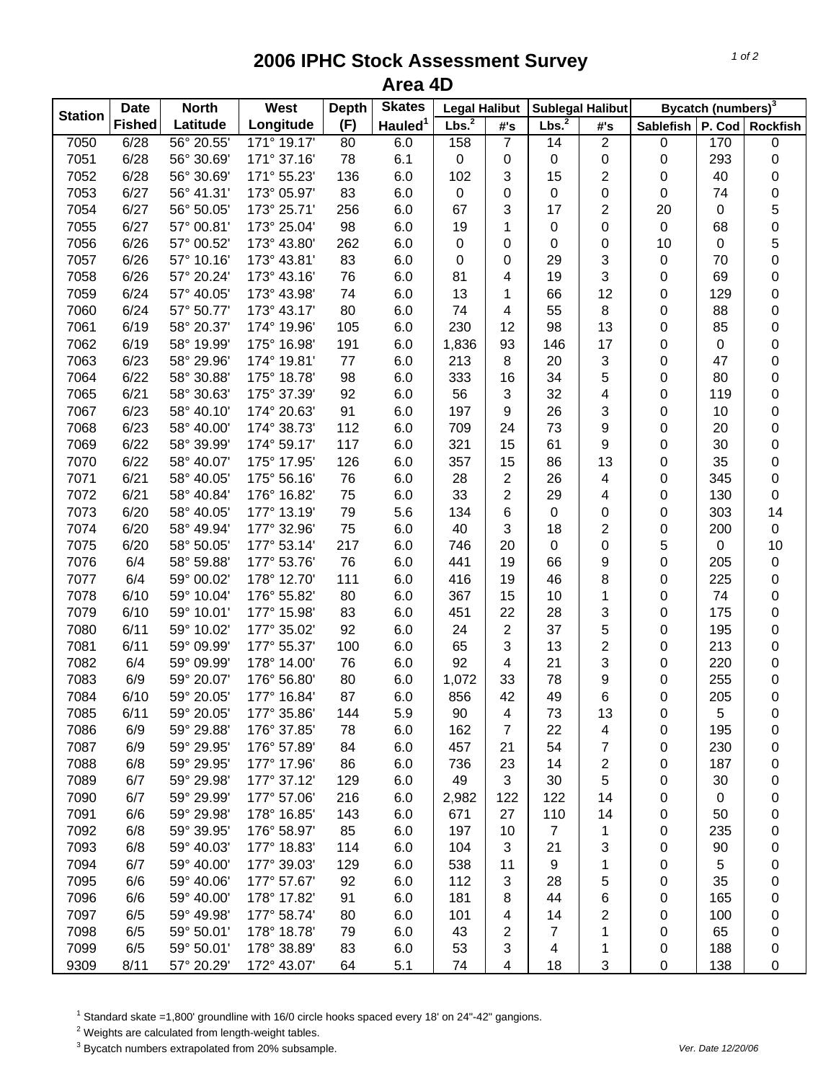## **2006 IPHC Stock Assessment Survey Area 4D**

|                | <b>Date</b>   | <b>North</b> | <b>West</b> | <b>Depth</b> | <b>Skates</b>       | <b>Legal Halibut</b> |                | Sublegal Halibut  |                | <b>Bycatch (numbers)</b> <sup>3</sup> |     |                 |
|----------------|---------------|--------------|-------------|--------------|---------------------|----------------------|----------------|-------------------|----------------|---------------------------------------|-----|-----------------|
| <b>Station</b> | <b>Fished</b> | Latitude     | Longitude   | (F)          | Hauled <sup>1</sup> | Lbs. <sup>2</sup>    | #'s            | Lbs. <sup>2</sup> | #'s            | Sablefish   P. Cod                    |     | <b>Rockfish</b> |
| 7050           | 6/28          | 56° 20.55'   | 171° 19.17' | 80           | 6.0                 | 158                  | $\overline{7}$ | 14                | $\overline{2}$ | 0                                     | 170 | 0               |
| 7051           | 6/28          | 56° 30.69'   | 171° 37.16' | 78           | 6.1                 | 0                    | 0              | 0                 | 0              | 0                                     | 293 | 0               |
| 7052           | 6/28          | 56° 30.69'   | 171° 55.23' | 136          | 6.0                 | 102                  | 3              | 15                | 2              | 0                                     | 40  | 0               |
| 7053           | 6/27          | 56° 41.31'   | 173° 05.97' | 83           | 6.0                 | 0                    | 0              | $\pmb{0}$         | 0              | 0                                     | 74  | $\pmb{0}$       |
| 7054           | 6/27          | 56° 50.05'   | 173° 25.71' | 256          | 6.0                 | 67                   | 3              | 17                | $\overline{2}$ | 20                                    | 0   | 5               |
| 7055           | 6/27          | 57° 00.81'   | 173° 25.04' | 98           | 6.0                 | 19                   | 1              | 0                 | 0              | $\mathbf 0$                           | 68  | 0               |
| 7056           | 6/26          | 57° 00.52'   | 173° 43.80' | 262          | 6.0                 | 0                    | 0              | 0                 | 0              | 10                                    | 0   | 5               |
| 7057           | 6/26          | 57° 10.16'   | 173° 43.81' | 83           | 6.0                 | 0                    | 0              | 29                | 3              | 0                                     | 70  | $\mathbf 0$     |
| 7058           | 6/26          | 57° 20.24'   | 173° 43.16' | 76           | 6.0                 | 81                   | 4              | 19                | 3              | 0                                     | 69  | 0               |
| 7059           | 6/24          | 57° 40.05'   | 173° 43.98' | 74           | 6.0                 | 13                   | 1              | 66                | 12             | 0                                     | 129 | 0               |
| 7060           | 6/24          | 57° 50.77'   | 173° 43.17' | 80           | 6.0                 | 74                   | 4              | 55                | 8              | 0                                     | 88  | 0               |
| 7061           | 6/19          | 58° 20.37'   | 174° 19.96' | 105          | 6.0                 | 230                  | 12             | 98                | 13             | 0                                     | 85  | 0               |
| 7062           | 6/19          | 58° 19.99'   | 175° 16.98' | 191          | 6.0                 | 1,836                | 93             | 146               | 17             | 0                                     | 0   | 0               |
| 7063           | 6/23          | 58° 29.96'   | 174° 19.81' | 77           | 6.0                 | 213                  | 8              | 20                | 3              | 0                                     | 47  | 0               |
| 7064           | 6/22          | 58° 30.88'   | 175° 18.78' | 98           | 6.0                 | 333                  | 16             | 34                | 5              | 0                                     | 80  | 0               |
| 7065           | 6/21          | 58° 30.63'   | 175° 37.39' | 92           | 6.0                 | 56                   | 3              | 32                | 4              | 0                                     | 119 | 0               |
| 7067           | 6/23          | 58° 40.10'   | 174° 20.63' | 91           | 6.0                 | 197                  | 9              | 26                | 3              | 0                                     | 10  | 0               |
| 7068           | 6/23          | 58° 40.00'   | 174° 38.73' | 112          | 6.0                 | 709                  | 24             | 73                | 9              | 0                                     | 20  | 0               |
| 7069           | 6/22          | 58° 39.99'   | 174° 59.17' | 117          | 6.0                 | 321                  | 15             | 61                | 9              | 0                                     | 30  | 0               |
| 7070           | 6/22          | 58° 40.07'   | 175° 17.95' | 126          | 6.0                 | 357                  | 15             | 86                | 13             | 0                                     | 35  | 0               |
| 7071           | 6/21          | 58° 40.05'   | 175° 56.16' | 76           | 6.0                 | 28                   | $\overline{2}$ | 26                | 4              | 0                                     | 345 | $\pmb{0}$       |
| 7072           | 6/21          | 58° 40.84'   | 176° 16.82' | 75           | 6.0                 | 33                   | $\overline{2}$ | 29                | 4              | 0                                     | 130 | $\pmb{0}$       |
| 7073           | 6/20          | 58° 40.05'   | 177° 13.19' | 79           | 5.6                 | 134                  | 6              | $\pmb{0}$         | 0              | 0                                     | 303 | 14              |
| 7074           | 6/20          | 58° 49.94'   | 177° 32.96' | 75           | 6.0                 | 40                   | 3              | 18                | 2              | 0                                     | 200 | $\pmb{0}$       |
| 7075           | 6/20          | 58° 50.05'   | 177° 53.14' | 217          | 6.0                 | 746                  | 20             | 0                 | 0              | 5                                     | 0   | 10              |
| 7076           | 6/4           | 58° 59.88'   | 177° 53.76' | 76           | 6.0                 | 441                  | 19             | 66                | 9              | 0                                     | 205 | $\pmb{0}$       |
| 7077           | 6/4           | 59° 00.02'   | 178° 12.70' | 111          | 6.0                 | 416                  | 19             | 46                | 8              | 0                                     | 225 | $\pmb{0}$       |
| 7078           | 6/10          | 59° 10.04'   | 176° 55.82' | 80           | 6.0                 | 367                  | 15             | 10                | 1              | 0                                     | 74  | 0               |
| 7079           | 6/10          | 59° 10.01'   | 177° 15.98' | 83           | 6.0                 | 451                  | 22             | 28                | 3              | 0                                     | 175 | 0               |
| 7080           | 6/11          | 59° 10.02'   | 177° 35.02' | 92           | 6.0                 | 24                   | 2              | 37                | 5              | 0                                     | 195 | 0               |
| 7081           | 6/11          | 59° 09.99'   | 177° 55.37' | 100          | 6.0                 | 65                   | 3              | 13                | $\overline{2}$ | 0                                     | 213 | 0               |
| 7082           | 6/4           | 59° 09.99'   | 178° 14.00' | 76           | 6.0                 | 92                   | 4              | 21                | 3              | 0                                     | 220 | 0               |
| 7083           | 6/9           | 59° 20.07'   | 176° 56.80' | 80           | 6.0                 | 1,072                | 33             | 78                | 9              | 0                                     | 255 | 0               |
| 7084           | 6/10          | 59° 20.05'   | 177° 16.84' | 87           | 6.0                 | 856                  | 42             | 49                | 6              | 0                                     | 205 | $\pmb{0}$       |
| 7085           | 6/11          | 59° 20.05'   | 177° 35.86' | 144          | 5.9                 | 90                   | 4              | 73                | 13             | 0                                     | 5   | 0               |
| 7086           | 6/9           | 59° 29.88'   | 176° 37.85' | 78           | 6.0                 | 162                  | 7              | 22                | 4              | 0                                     | 195 | 0               |
| 7087           | 6/9           | 59° 29.95'   | 176° 57.89' | 84           | 6.0                 | 457                  | 21             | 54                | 7              | 0                                     | 230 | 0               |
| 7088           | 6/8           | 59° 29.95'   | 177° 17.96' | 86           | 6.0                 | 736                  | 23             | 14                | 2              | 0                                     | 187 | 0               |
| 7089           | 6/7           | 59° 29.98'   | 177° 37.12' | 129          | 6.0                 | 49                   | 3              | 30                | 5              | 0                                     | 30  | 0               |
| 7090           | 6/7           | 59° 29.99'   | 177° 57.06' | 216          | 6.0                 | 2,982                | 122            | 122               | 14             | 0                                     | 0   | 0               |
| 7091           | 6/6           | 59° 29.98'   | 178° 16.85' | 143          | 6.0                 | 671                  | 27             | 110               | 14             | 0                                     | 50  | 0               |
| 7092           | 6/8           | 59° 39.95'   | 176° 58.97' | 85           | 6.0                 | 197                  | 10             | $\overline{7}$    | 1              | 0                                     | 235 | 0               |
| 7093           | 6/8           | 59° 40.03'   | 177° 18.83' | 114          | 6.0                 | 104                  | 3              | 21                | 3              | 0                                     | 90  | 0               |
| 7094           | 6/7           | 59° 40.00'   | 177° 39.03' | 129          | 6.0                 | 538                  | 11             | 9                 | 1              | 0                                     | 5   | 0               |
| 7095           | 6/6           | 59° 40.06'   | 177° 57.67' | 92           | 6.0                 | 112                  | 3              | 28                |                |                                       | 35  |                 |
| 7096           | 6/6           | 59° 40.00'   | 178° 17.82' | 91           | 6.0                 | 181                  |                | 44                | 5              | 0                                     | 165 | 0               |
|                |               |              | 177° 58.74' |              |                     |                      | 8              |                   | 6              | 0                                     | 100 | 0               |
| 7097           | 6/5           | 59° 49.98'   |             | 80           | 6.0                 | 101                  | 4              | 14                | 2              | 0                                     |     | 0               |
| 7098           | 6/5           | 59° 50.01'   | 178° 18.78' | 79           | 6.0                 | 43                   | 2              | 7                 | 1              | 0                                     | 65  | 0               |
| 7099           | 6/5           | 59° 50.01'   | 178° 38.89' | 83           | 6.0                 | 53                   | 3              | 4                 | 1              | 0                                     | 188 | 0               |
| 9309           | 8/11          | 57° 20.29'   | 172° 43.07' | 64           | 5.1                 | 74                   | 4              | 18                | 3              | 0                                     | 138 | 0               |

<sup>1</sup> Standard skate =1,800' groundline with 16/0 circle hooks spaced every 18' on 24"-42" gangions.

 $2$  Weights are calculated from length-weight tables.

3 Bycatch numbers extrapolated from 20% subsample. *Ver. Date 12/20/06*